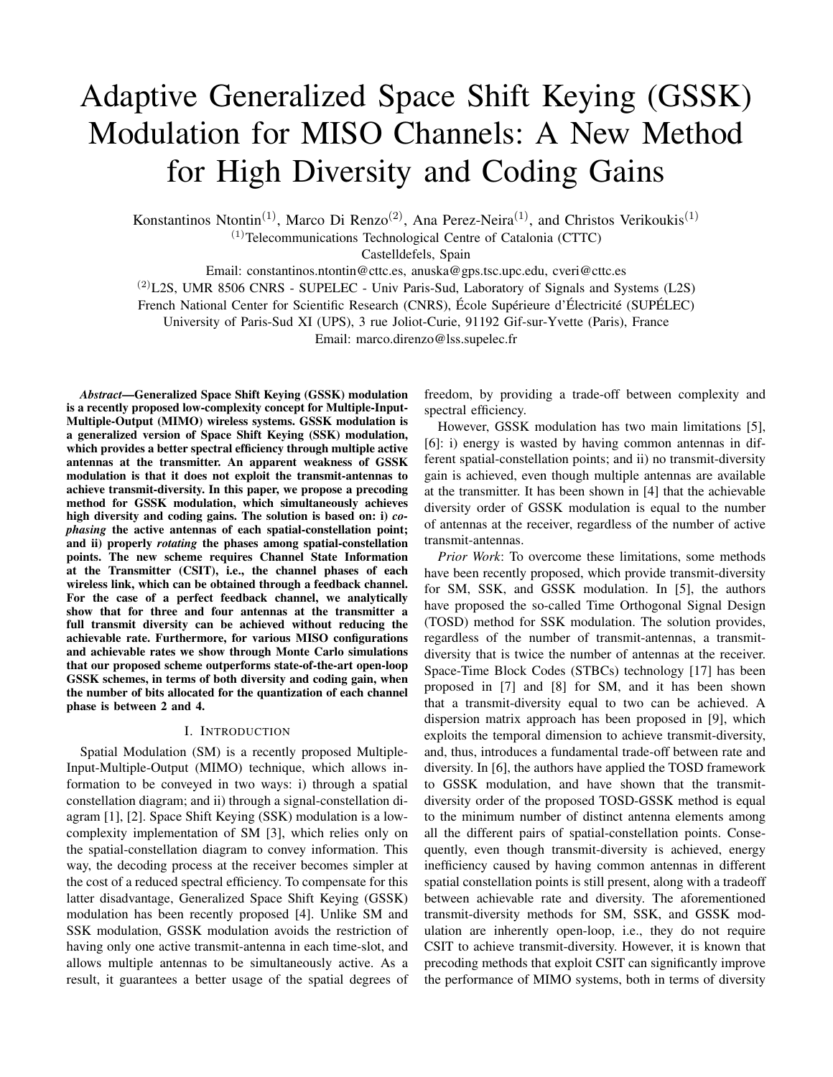# Adaptive Generalized Space Shift Keying (GSSK) Modulation for MISO Channels: A New Method for High Diversity and Coding Gains

Konstantinos Ntontin<sup>(1)</sup>, Marco Di Renzo<sup>(2)</sup>, Ana Perez-Neira<sup>(1)</sup>, and Christos Verikoukis<sup>(1)</sup>

 $(1)$ Telecommunications Technological Centre of Catalonia (CTTC)

Castelldefels, Spain

Email: constantinos.ntontin@cttc.es, anuska@gps.tsc.upc.edu, cveri@cttc.es  $^{(2)}$ L2S, UMR 8506 CNRS - SUPELEC - Univ Paris-Sud, Laboratory of Signals and Systems (L2S) French National Center for Scientific Research (CNRS), École Supérieure d'Électricité (SUPÉLEC) University of Paris-Sud XI (UPS), 3 rue Joliot-Curie, 91192 Gif-sur-Yvette (Paris), France

Email: marco.direnzo@lss.supelec.fr

*Abstract*—Generalized Space Shift Keying (GSSK) modulation is a recently proposed low-complexity concept for Multiple-Input-Multiple-Output (MIMO) wireless systems. GSSK modulation is a generalized version of Space Shift Keying (SSK) modulation, which provides a better spectral efficiency through multiple active antennas at the transmitter. An apparent weakness of GSSK modulation is that it does not exploit the transmit-antennas to achieve transmit-diversity. In this paper, we propose a precoding method for GSSK modulation, which simultaneously achieves high diversity and coding gains. The solution is based on: i) *cophasing* the active antennas of each spatial-constellation point; and ii) properly *rotating* the phases among spatial-constellation points. The new scheme requires Channel State Information at the Transmitter (CSIT), i.e., the channel phases of each wireless link, which can be obtained through a feedback channel. For the case of a perfect feedback channel, we analytically show that for three and four antennas at the transmitter a full transmit diversity can be achieved without reducing the achievable rate. Furthermore, for various MISO configurations and achievable rates we show through Monte Carlo simulations that our proposed scheme outperforms state-of-the-art open-loop GSSK schemes, in terms of both diversity and coding gain, when the number of bits allocated for the quantization of each channel phase is between 2 and 4.

## I. INTRODUCTION

Spatial Modulation (SM) is a recently proposed Multiple-Input-Multiple-Output (MIMO) technique, which allows information to be conveyed in two ways: i) through a spatial constellation diagram; and ii) through a signal-constellation diagram [1], [2]. Space Shift Keying (SSK) modulation is a lowcomplexity implementation of SM [3], which relies only on the spatial-constellation diagram to convey information. This way, the decoding process at the receiver becomes simpler at the cost of a reduced spectral efficiency. To compensate for this latter disadvantage, Generalized Space Shift Keying (GSSK) modulation has been recently proposed [4]. Unlike SM and SSK modulation, GSSK modulation avoids the restriction of having only one active transmit-antenna in each time-slot, and allows multiple antennas to be simultaneously active. As a result, it guarantees a better usage of the spatial degrees of freedom, by providing a trade-off between complexity and spectral efficiency.

However, GSSK modulation has two main limitations [5], [6]: i) energy is wasted by having common antennas in different spatial-constellation points; and ii) no transmit-diversity gain is achieved, even though multiple antennas are available at the transmitter. It has been shown in [4] that the achievable diversity order of GSSK modulation is equal to the number of antennas at the receiver, regardless of the number of active transmit-antennas.

*Prior Work*: To overcome these limitations, some methods have been recently proposed, which provide transmit-diversity for SM, SSK, and GSSK modulation. In [5], the authors have proposed the so-called Time Orthogonal Signal Design (TOSD) method for SSK modulation. The solution provides, regardless of the number of transmit-antennas, a transmitdiversity that is twice the number of antennas at the receiver. Space-Time Block Codes (STBCs) technology [17] has been proposed in [7] and [8] for SM, and it has been shown that a transmit-diversity equal to two can be achieved. A dispersion matrix approach has been proposed in [9], which exploits the temporal dimension to achieve transmit-diversity, and, thus, introduces a fundamental trade-off between rate and diversity. In [6], the authors have applied the TOSD framework to GSSK modulation, and have shown that the transmitdiversity order of the proposed TOSD-GSSK method is equal to the minimum number of distinct antenna elements among all the different pairs of spatial-constellation points. Consequently, even though transmit-diversity is achieved, energy inefficiency caused by having common antennas in different spatial constellation points is still present, along with a tradeoff between achievable rate and diversity. The aforementioned transmit-diversity methods for SM, SSK, and GSSK modulation are inherently open-loop, i.e., they do not require CSIT to achieve transmit-diversity. However, it is known that precoding methods that exploit CSIT can significantly improve the performance of MIMO systems, both in terms of diversity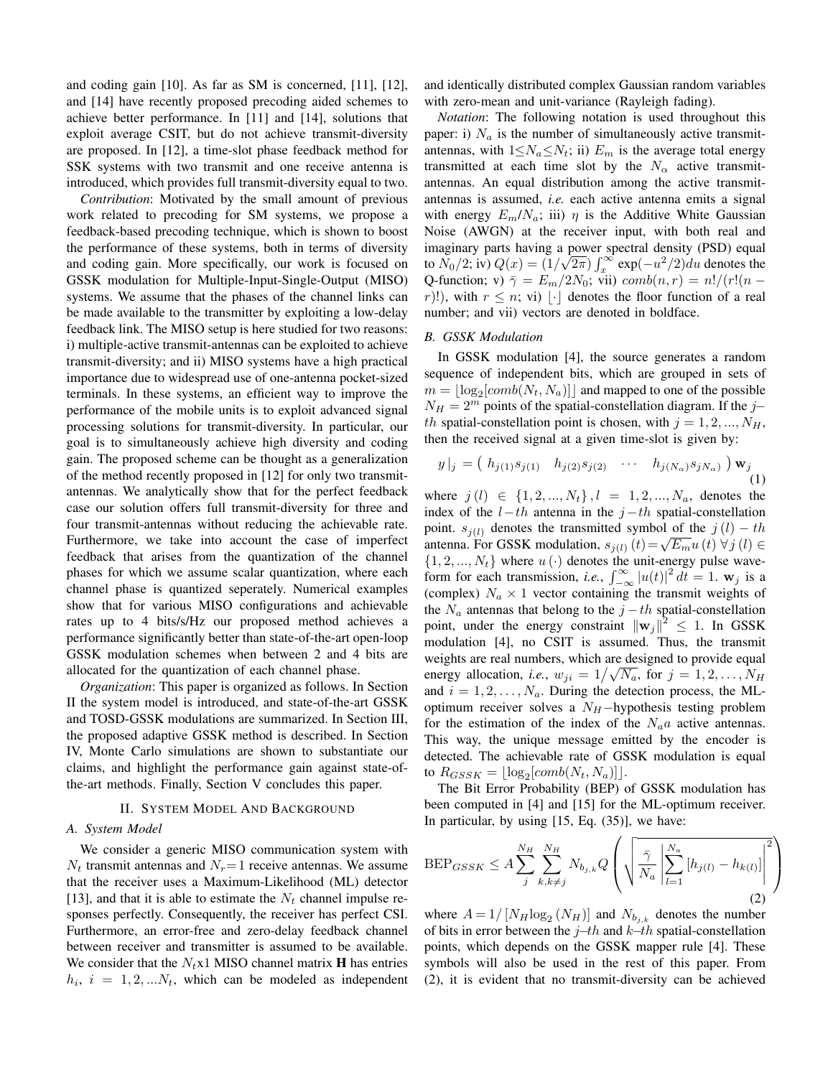and coding gain [10]. As far as SM is concerned, [11], [12], and [14] have recently proposed precoding aided schemes to achieve better performance. In [11] and [14], solutions that exploit average CSIT, but do not achieve transmit-diversity are proposed. In [12], a time-slot phase feedback method for SSK systems with two transmit and one receive antenna is introduced, which provides full transmit-diversity equal to two.

*Contribution*: Motivated by the small amount of previous work related to precoding for SM systems, we propose a feedback-based precoding technique, which is shown to boost the performance of these systems, both in terms of diversity and coding gain. More specifically, our work is focused on GSSK modulation for Multiple-Input-Single-Output (MISO) systems. We assume that the phases of the channel links can be made available to the transmitter by exploiting a low-delay feedback link. The MISO setup is here studied for two reasons: i) multiple-active transmit-antennas can be exploited to achieve transmit-diversity; and ii) MISO systems have a high practical importance due to widespread use of one-antenna pocket-sized terminals. In these systems, an efficient way to improve the performance of the mobile units is to exploit advanced signal processing solutions for transmit-diversity. In particular, our goal is to simultaneously achieve high diversity and coding gain. The proposed scheme can be thought as a generalization of the method recently proposed in [12] for only two transmitantennas. We analytically show that for the perfect feedback case our solution offers full transmit-diversity for three and four transmit-antennas without reducing the achievable rate. Furthermore, we take into account the case of imperfect feedback that arises from the quantization of the channel phases for which we assume scalar quantization, where each channel phase is quantized seperately. Numerical examples show that for various MISO configurations and achievable rates up to 4 bits/s/Hz our proposed method achieves a performance significantly better than state-of-the-art open-loop GSSK modulation schemes when between 2 and 4 bits are allocated for the quantization of each channel phase.

*Organization*: This paper is organized as follows. In Section II the system model is introduced, and state-of-the-art GSSK and TOSD-GSSK modulations are summarized. In Section III, the proposed adaptive GSSK method is described. In Section IV, Monte Carlo simulations are shown to substantiate our claims, and highlight the performance gain against state-ofthe-art methods. Finally, Section V concludes this paper.

# II. SYSTEM MODEL AND BACKGROUND

# *A. System Model*

We consider a generic MISO communication system with  $N_t$  transmit antennas and  $N_r=1$  receive antennas. We assume that the receiver uses a Maximum-Likelihood (ML) detector [13], and that it is able to estimate the  $N_t$  channel impulse responses perfectly. Consequently, the receiver has perfect CSI. Furthermore, an error-free and zero-delay feedback channel between receiver and transmitter is assumed to be available. We consider that the  $N_t$ x1 MISO channel matrix **H** has entries  $h_i$ ,  $i = 1, 2, \ldots N_t$ , which can be modeled as independent and identically distributed complex Gaussian random variables with zero-mean and unit-variance (Rayleigh fading).

*Notation*: The following notation is used throughout this paper: i)  $N_a$  is the number of simultaneously active transmitantennas, with  $1 \le N_a \le N_t$ ; ii)  $E_m$  is the average total energy transmitted at each time slot by the  $N_\alpha$  active transmitantennas. An equal distribution among the active transmitantennas is assumed, *i.e.* each active antenna emits a signal with energy  $E_m/N_a$ ; iii)  $\eta$  is the Additive White Gaussian Noise (AWGN) at the receiver input, with both real and imaginary parts having a power spectral density (PSD) equal √ to  $N_0/2$ ; iv)  $Q(x) = (1/\sqrt{2\pi}) \int_x^{\infty} \exp(-u^2/2) du$  denotes the Q-function; v)  $\bar{\gamma} = E_m/2N_0$ ; vii)  $comb(n,r) = n!/(r!(n$ r)!), with  $r \leq n$ ; vi) | | denotes the floor function of a real number; and vii) vectors are denoted in boldface.

# *B. GSSK Modulation*

In GSSK modulation [4], the source generates a random sequence of independent bits, which are grouped in sets of  $m = \lfloor log_2[comb(N_t, N_a)] \rfloor$  and mapped to one of the possible  $N_H = 2^m$  points of the spatial-constellation diagram. If the j– th spatial-constellation point is chosen, with  $j = 1, 2, ..., N_H$ , then the received signal at a given time-slot is given by:

$$
y|_{j} = (h_{j(1)}s_{j(1)} \quad h_{j(2)}s_{j(2)} \quad \cdots \quad h_{j(N_{\alpha})}s_{jN_{\alpha}}) \mathbf{w}_{j} \tag{1}
$$

where  $j(l) \in \{1, 2, ..., N_t\}, l = 1, 2, ..., N_a$ , denotes the index of the  $l-th$  antenna in the  $j-th$  spatial-constellation point.  $s_{i(l)}$  denotes the transmitted symbol of the  $j(l) - th$ point.  $s_{j(l)}$  denotes the transmitted symbol of the  $j(t) = th$ <br>antenna. For GSSK modulation,  $s_{j(l)}(t) = \sqrt{E_m}u(t)$   $\forall j(l) \in$  $\{1, 2, ..., N_t\}$  where  $u(\cdot)$  denotes the unit-energy pulse waveform for each transmission, *i.e.*,  $\int_{-\infty}^{\infty} |u(t)|^2 dt = 1$ .  $w_j$  is a (complex)  $N_a \times 1$  vector containing the transmit weights of the  $N_a$  antennas that belong to the  $j-th$  spatial-constellation point, under the energy constraint  $\|\mathbf{w}_j\|^2 \leq 1$ . In GSSK modulation [4], no CSIT is assumed. Thus, the transmit weights are real numbers, which are designed to provide equal weights are real numbers, which are designed to provide equal energy allocation, *i.e.*,  $w_{ji} = 1/\sqrt{N_a}$ , for  $j = 1, 2, ..., N_H$ and  $i = 1, 2, \ldots, N_a$ . During the detection process, the MLoptimum receiver solves a  $N_H$ -hypothesis testing problem for the estimation of the index of the  $N_a a$  active antennas. This way, the unique message emitted by the encoder is detected. The achievable rate of GSSK modulation is equal to  $R_{GSSK} = \lfloor \log_2[comb(N_t, N_a)] \rfloor$ .

The Bit Error Probability (BEP) of GSSK modulation has been computed in [4] and [15] for the ML-optimum receiver. In particular, by using [15, Eq. (35)], we have:

$$
\text{BEP}_{GSSK} \le A \sum_{j}^{N_H} \sum_{k,k \neq j}^{N_H} N_{b_{j,k}} Q\left(\sqrt{\frac{\bar{\gamma}}{N_a} \left| \sum_{l=1}^{N_a} \left[h_{j(l)} - h_{k(l)}\right] \right|^2}\right)
$$
\n
$$
(2)
$$

where  $A = 1/[N_H \log_2(N_H)]$  and  $N_{b_{j,k}}$  denotes the number of bits in error between the  $j-th$  and  $k-th$  spatial-constellation points, which depends on the GSSK mapper rule [4]. These symbols will also be used in the rest of this paper. From (2), it is evident that no transmit-diversity can be achieved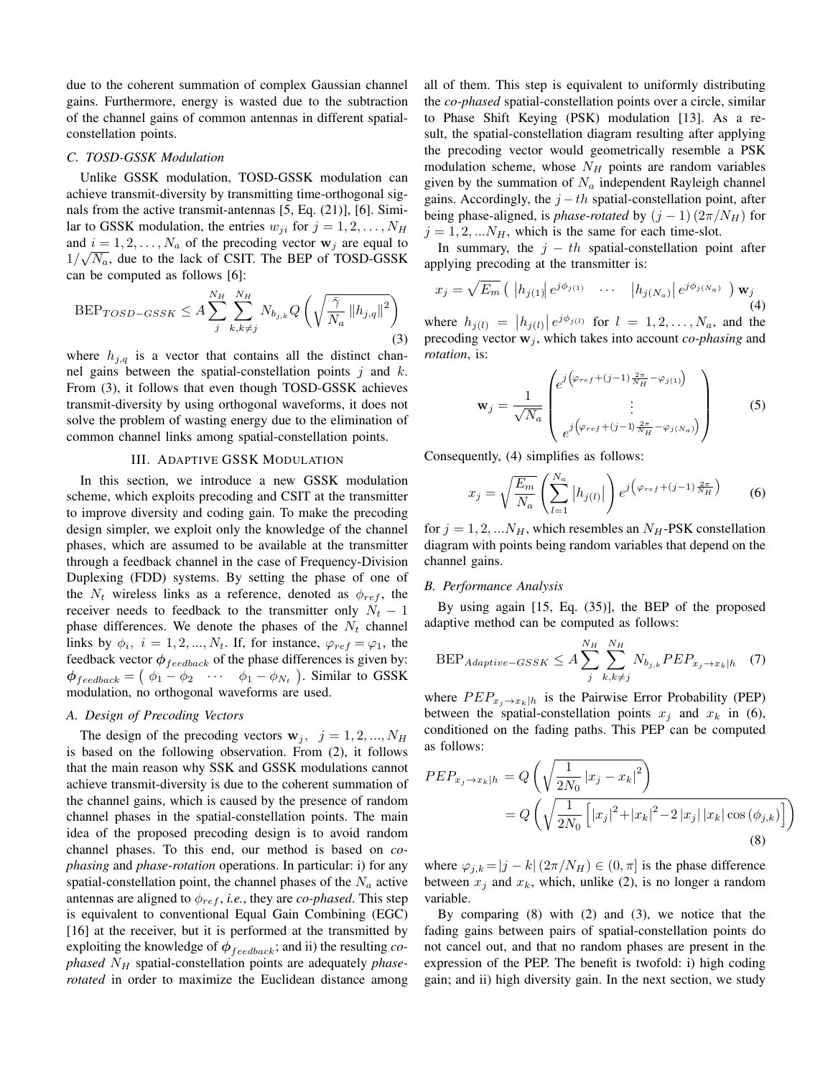due to the coherent summation of complex Gaussian channel gains. Furthermore, energy is wasted due to the subtraction of the channel gains of common antennas in different spatialconstellation points.

# *C. TOSD-GSSK Modulation*

Unlike GSSK modulation, TOSD-GSSK modulation can achieve transmit-diversity by transmitting time-orthogonal signals from the active transmit-antennas [5, Eq. (21)], [6]. Similar to GSSK modulation, the entries  $w_{ji}$  for  $j = 1, 2, \ldots, N_H$ and  $i = 1, 2, ..., N_a$  of the precoding vector  $w_j$  are equal to  $1/\sqrt{N_a}$ , due to the lack of CSIT. The BEP of TOSD-GSSK can be computed as follows [6]:

$$
\text{BEP}_{TOSD-GSSK} \le A \sum_{j}^{N_H} \sum_{k,k \ne j}^{N_H} N_{b_{j,k}} Q\left(\sqrt{\frac{\bar{\gamma}}{N_a} ||h_{j,q}||^2}\right)
$$
\n(3)

where  $h_{j,q}$  is a vector that contains all the distinct channel gains between the spatial-constellation points  $j$  and  $k$ . From (3), it follows that even though TOSD-GSSK achieves transmit-diversity by using orthogonal waveforms, it does not solve the problem of wasting energy due to the elimination of common channel links among spatial-constellation points.

# III. ADAPTIVE GSSK MODULATION

In this section, we introduce a new GSSK modulation scheme, which exploits precoding and CSIT at the transmitter to improve diversity and coding gain. To make the precoding design simpler, we exploit only the knowledge of the channel phases, which are assumed to be available at the transmitter through a feedback channel in the case of Frequency-Division Duplexing (FDD) systems. By setting the phase of one of the  $N_t$  wireless links as a reference, denoted as  $\phi_{ref}$ , the receiver needs to feedback to the transmitter only  $N_t - 1$ phase differences. We denote the phases of the  $N_t$  channel links by  $\phi_i$ ,  $i = 1, 2, ..., N_t$ . If, for instance,  $\varphi_{ref} = \varphi_1$ , the feedback vector  $\phi_{feedback}$  of the phase differences is given by:  $\phi_{feedback} = (\phi_1 - \phi_2 \cdots \phi_1 - \phi_{N_t})$ . Similar to GSSK modulation, no orthogonal waveforms are used.

# *A. Design of Precoding Vectors*

The design of the precoding vectors  $\mathbf{w}_j$ ,  $j = 1, 2, ..., N_H$ is based on the following observation. From (2), it follows that the main reason why SSK and GSSK modulations cannot achieve transmit-diversity is due to the coherent summation of the channel gains, which is caused by the presence of random channel phases in the spatial-constellation points. The main idea of the proposed precoding design is to avoid random channel phases. To this end, our method is based on *cophasing* and *phase-rotation* operations. In particular: i) for any spatial-constellation point, the channel phases of the  $N_a$  active antennas are aligned to  $\phi_{ref}$ , *i.e.*, they are *co-phased*. This step is equivalent to conventional Equal Gain Combining (EGC) [16] at the receiver, but it is performed at the transmitted by exploiting the knowledge of  $\phi_{feedback}$ ; and ii) the resulting *cophased*  $N_H$  spatial-constellation points are adequately *phaserotated* in order to maximize the Euclidean distance among all of them. This step is equivalent to uniformly distributing the *co-phased* spatial-constellation points over a circle, similar to Phase Shift Keying (PSK) modulation [13]. As a result, the spatial-constellation diagram resulting after applying the precoding vector would geometrically resemble a PSK modulation scheme, whose  $N_H$  points are random variables given by the summation of  $N_a$  independent Rayleigh channel gains. Accordingly, the  $j-th$  spatial-constellation point, after being phase-aligned, is *phase-rotated* by  $(j - 1) (2\pi/N_H)$  for  $j = 1, 2, \dots N_H$ , which is the same for each time-slot.

In summary, the  $j - th$  spatial-constellation point after applying precoding at the transmitter is:

$$
x_j = \sqrt{E_m} \left( \left| h_{j(1)} \right| e^{j\phi_{j(1)}} \cdots \left| h_{j(N_a)} \right| e^{j\phi_{j(N_a)}} \right) \mathbf{w}_j
$$
\n(4)

where  $h_{j(l)} = |h_{j(l)}| e^{j\phi_{j(l)}}$  for  $l = 1, 2, ..., N_a$ , and the precoding vector  $w_i$ , which takes into account *co-phasing* and *rotation*, is:

$$
\mathbf{w}_{j} = \frac{1}{\sqrt{N_a}} \begin{pmatrix} e^{j \left(\varphi_{ref} + (j-1)\frac{2\pi}{N_H} - \varphi_{j(1)}\right)} \\ \vdots \\ e^{j \left(\varphi_{ref} + (j-1)\frac{2\pi}{N_H} - \varphi_{j(N_a)}\right)} \end{pmatrix}
$$
 (5)

Consequently, (4) simplifies as follows:

$$
x_j = \sqrt{\frac{E_m}{N_a}} \left( \sum_{l=1}^{N_a} |h_{j(l)}| \right) e^{j \left( \varphi_{ref} + (j-1) \frac{2\pi}{N_H} \right)} \tag{6}
$$

for  $j = 1, 2, \dots N_H$ , which resembles an  $N_H$ -PSK constellation diagram with points being random variables that depend on the channel gains.

# *B. Performance Analysis*

By using again [15, Eq. (35)], the BEP of the proposed adaptive method can be computed as follows:

$$
BEP_{Adaptive-GSSK} \le A \sum_{j}^{N_H} \sum_{k,k \ne j}^{N_H} N_{b_{j,k}} PEP_{x_j \to x_k | h} \quad (7)
$$

where  $PEP_{x_i \to x_k|h}$  is the Pairwise Error Probability (PEP) between the spatial-constellation points  $x_j$  and  $x_k$  in (6), conditioned on the fading paths. This PEP can be computed as follows:

$$
PEP_{x_j \to x_k|h} = Q\left(\sqrt{\frac{1}{2N_0} |x_j - x_k|^2}\right)
$$
  
=  $Q\left(\sqrt{\frac{1}{2N_0} \left[ |x_j|^2 + |x_k|^2 - 2|x_j| |x_k| \cos(\phi_{j,k}) \right]}\right)$   
(8)

where  $\varphi_{j,k} = |j - k| (2\pi/N_H) \in (0, \pi]$  is the phase difference between  $x_j$  and  $x_k$ , which, unlike (2), is no longer a random variable.

By comparing (8) with (2) and (3), we notice that the fading gains between pairs of spatial-constellation points do not cancel out, and that no random phases are present in the expression of the PEP. The benefit is twofold: i) high coding gain; and ii) high diversity gain. In the next section, we study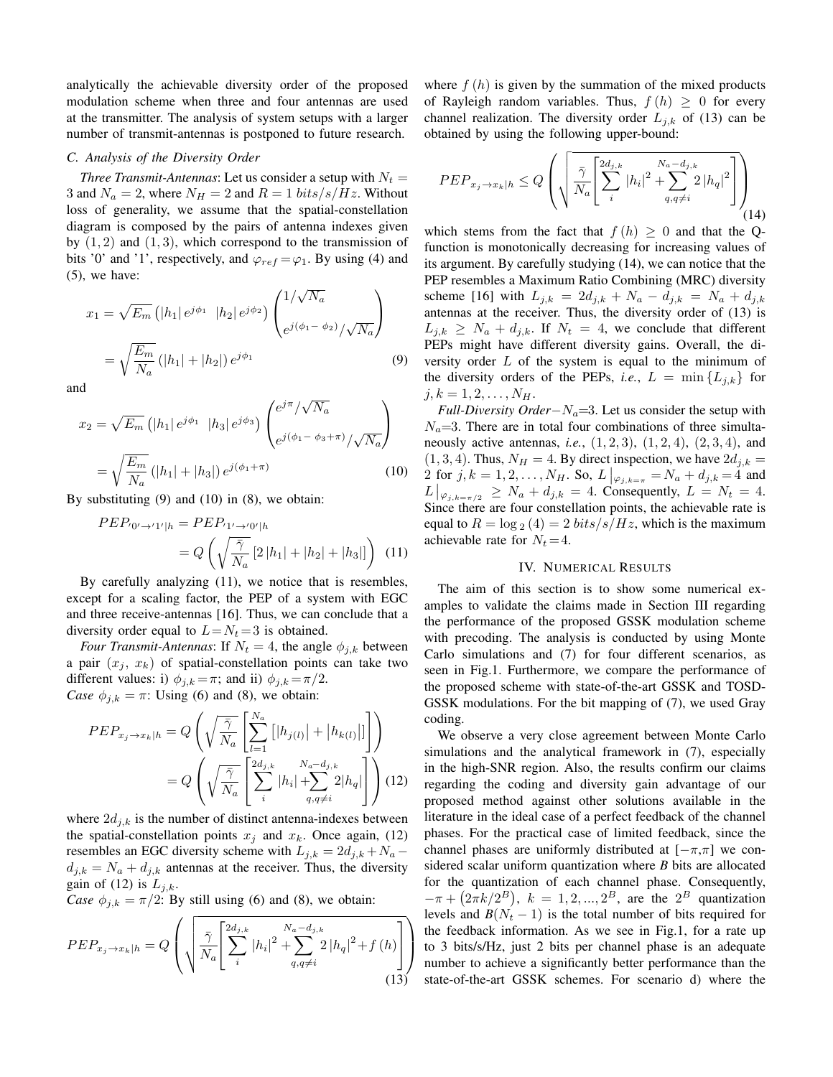analytically the achievable diversity order of the proposed modulation scheme when three and four antennas are used at the transmitter. The analysis of system setups with a larger number of transmit-antennas is postponed to future research.

## *C. Analysis of the Diversity Order*

*Three Transmit-Antennas*: Let us consider a setup with  $N_t =$ 3 and  $N_a = 2$ , where  $N_H = 2$  and  $R = 1$  bits/s/Hz. Without loss of generality, we assume that the spatial-constellation diagram is composed by the pairs of antenna indexes given by  $(1, 2)$  and  $(1, 3)$ , which correspond to the transmission of bits '0' and '1', respectively, and  $\varphi_{ref} = \varphi_1$ . By using (4) and  $(5)$ , we have:

$$
x_1 = \sqrt{E_m} \left( |h_1| e^{j\phi_1} |h_2| e^{j\phi_2} \right) \begin{pmatrix} 1/\sqrt{N_a} \\ e^{j(\phi_1 - \phi_2)} / \sqrt{N_a} \end{pmatrix}
$$
  
=  $\sqrt{\frac{E_m}{N_a}} \left( |h_1| + |h_2| \right) e^{j\phi_1}$  (9)

and

$$
x_2 = \sqrt{E_m} \left( |h_1| e^{j\phi_1} |h_3| e^{j\phi_3} \right) \begin{pmatrix} e^{j\pi} / \sqrt{N_a} \\ e^{j(\phi_1 - \phi_3 + \pi)} / \sqrt{N_a} \end{pmatrix}
$$

$$
= \sqrt{\frac{E_m}{N_a}} \left( |h_1| + |h_3| \right) e^{j(\phi_1 + \pi)} \tag{10}
$$

By substituting (9) and (10) in (8), we obtain:

$$
PEP_{0' \to 1'|h} = PEP_{1' \to 0'|h}
$$
  
=  $Q\left(\sqrt{\frac{\bar{\gamma}}{N_a}} \left[2|h_1| + |h_2| + |h_3|\right]\right)$  (11)

By carefully analyzing (11), we notice that is resembles, except for a scaling factor, the PEP of a system with EGC and three receive-antennas [16]. Thus, we can conclude that a diversity order equal to  $L = N_t = 3$  is obtained.

*Four Transmit-Antennas*: If  $N_t = 4$ , the angle  $\phi_{j,k}$  between a pair  $(x_i, x_k)$  of spatial-constellation points can take two different values: i)  $\phi_{j,k} = \pi$ ; and ii)  $\phi_{j,k} = \pi/2$ . *Case*  $\phi_{j,k} = \pi$ : Using (6) and (8), we obtain:

$$
PEP_{x_j \to x_k | h} = Q\left(\sqrt{\frac{\bar{\gamma}}{N_a}} \left[\sum_{l=1}^{N_a} \left[ |h_{j(l)}| + |h_{k(l)}| \right] \right] \right)
$$

$$
= Q\left(\sqrt{\frac{\bar{\gamma}}{N_a}} \left[\sum_{i}^{2d_{j,k}} |h_i| + \sum_{q,q \neq i}^{N_a - d_{j,k}} 2|h_q| \right] \right) (12)
$$

where  $2d_{j,k}$  is the number of distinct antenna-indexes between the spatial-constellation points  $x_j$  and  $x_k$ . Once again, (12) resembles an EGC diversity scheme with  $L_{j,k} = 2d_{j,k} + N_a$  $d_{j,k} = N_a + d_{j,k}$  antennas at the receiver. Thus, the diversity gain of (12) is  $L_{i,k}$ .

*Case*  $\phi_{j,k} = \pi/2$ : By still using (6) and (8), we obtain:

$$
PEP_{x_j \to x_k | h} = Q \left( \sqrt{\frac{\bar{\gamma}}{N_a} \left[ \sum_{i}^{2d_{j,k}} |h_i|^2 + \sum_{q,q \neq i}^{N_a - d_{j,k}} 2 |h_q|^2 + f(h) \right]} \right)
$$
(13)

where  $f(h)$  is given by the summation of the mixed products of Rayleigh random variables. Thus,  $f(h) \geq 0$  for every channel realization. The diversity order  $L_{j,k}$  of (13) can be obtained by using the following upper-bound:

$$
PEP_{x_j \to x_k | h} \le Q \left( \sqrt{\frac{\bar{\gamma}}{N_a} \left[ \sum_{i}^{2d_{j,k}} |h_i|^2 + \sum_{q,q \ne i}^{N_a - d_{j,k}} 2 |h_q|^2 \right]} \right) \tag{14}
$$

which stems from the fact that  $f(h) \geq 0$  and that the Qfunction is monotonically decreasing for increasing values of its argument. By carefully studying (14), we can notice that the PEP resembles a Maximum Ratio Combining (MRC) diversity scheme [16] with  $L_{j,k} = 2d_{j,k} + N_a - d_{j,k} = N_a + d_{j,k}$ antennas at the receiver. Thus, the diversity order of (13) is  $L_{j,k} \geq N_a + d_{j,k}$ . If  $N_t = 4$ , we conclude that different PEPs might have different diversity gains. Overall, the diversity order  $L$  of the system is equal to the minimum of the diversity orders of the PEPs, *i.e.*,  $L = \min\{L_{j,k}\}\$ for  $j, k = 1, 2, \ldots, N_H.$ 

*Full-Diversity Order*−N<sub>a</sub>=3. Let us consider the setup with  $N_a=3$ . There are in total four combinations of three simultaneously active antennas, *i.e.*,  $(1, 2, 3)$ ,  $(1, 2, 4)$ ,  $(2, 3, 4)$ , and  $(1, 3, 4)$ . Thus,  $N_H = 4$ . By direct inspection, we have  $2d_{i,k} =$ 2 for  $j, k = 1, 2, ..., N_H$ . So,  $L \big| \varphi_{j,k=\pi} = N_a + d_{j,k} = 4$  and  $L \big|_{\varphi_{j,k=\pi/2}} \geq N_a + d_{j,k} = 4$ . Consequently,  $L = N_t = 4$ . Since there are four constellation points, the achievable rate is equal to  $R = \log_2(4) = 2 \frac{bits}{s}/Hz$ , which is the maximum achievable rate for  $N_t = 4$ .

## IV. NUMERICAL RESULTS

The aim of this section is to show some numerical examples to validate the claims made in Section III regarding the performance of the proposed GSSK modulation scheme with precoding. The analysis is conducted by using Monte Carlo simulations and (7) for four different scenarios, as seen in Fig.1. Furthermore, we compare the performance of the proposed scheme with state-of-the-art GSSK and TOSD-GSSK modulations. For the bit mapping of (7), we used Gray coding.

We observe a very close agreement between Monte Carlo simulations and the analytical framework in (7), especially in the high-SNR region. Also, the results confirm our claims regarding the coding and diversity gain advantage of our proposed method against other solutions available in the literature in the ideal case of a perfect feedback of the channel phases. For the practical case of limited feedback, since the channel phases are uniformly distributed at  $[-\pi,\pi]$  we considered scalar uniform quantization where *B* bits are allocated for the quantization of each channel phase. Consequently,  $-\pi + (2\pi k/2^B)$ ,  $k = 1, 2, ..., 2^B$ , are the  $2^B$  quantization levels and  $B(N<sub>t</sub> - 1)$  is the total number of bits required for the feedback information. As we see in Fig.1, for a rate up to 3 bits/s/Hz, just 2 bits per channel phase is an adequate number to achieve a significantly better performance than the state-of-the-art GSSK schemes. For scenario d) where the